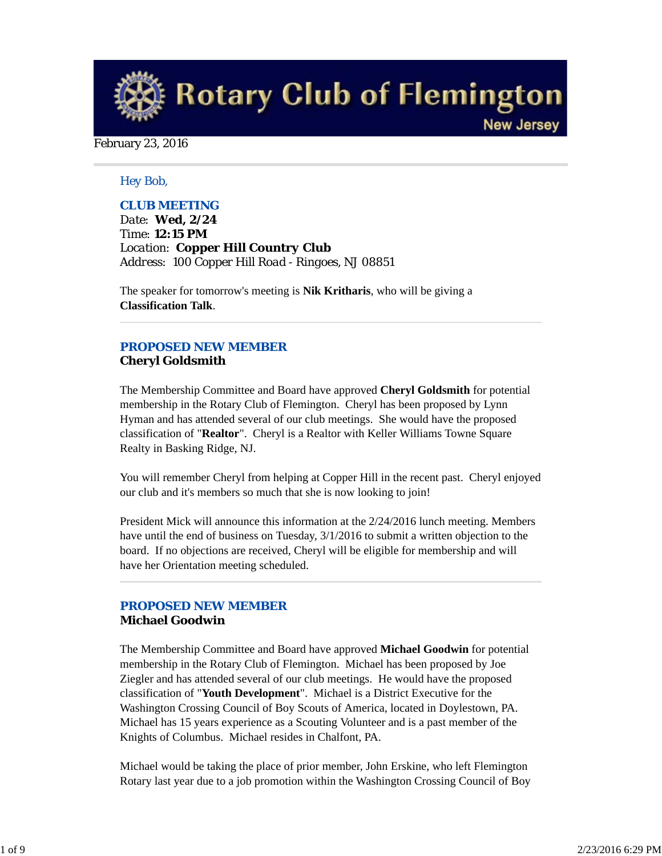**Rotary Club of Flemington New Jersey** 

February 23, 2016

### *Hey Bob,*

### *CLUB MEETING*

*Date: Wed, 2/24 Time: 12:15 PM Location: Copper Hill Country Club Address: 100 Copper Hill Road - Ringoes, NJ 08851*

The speaker for tomorrow's meeting is **Nik Kritharis**, who will be giving a **Classification Talk**.

### *PROPOSED NEW MEMBER* **Cheryl Goldsmith**

The Membership Committee and Board have approved **Cheryl Goldsmith** for potential membership in the Rotary Club of Flemington. Cheryl has been proposed by Lynn Hyman and has attended several of our club meetings. She would have the proposed classification of "**Realtor**". Cheryl is a Realtor with Keller Williams Towne Square Realty in Basking Ridge, NJ.

You will remember Cheryl from helping at Copper Hill in the recent past. Cheryl enjoyed our club and it's members so much that she is now looking to join!

President Mick will announce this information at the 2/24/2016 lunch meeting. Members have until the end of business on Tuesday, 3/1/2016 to submit a written objection to the board. If no objections are received, Cheryl will be eligible for membership and will have her Orientation meeting scheduled.

## *PROPOSED NEW MEMBER* **Michael Goodwin**

The Membership Committee and Board have approved **Michael Goodwin** for potential membership in the Rotary Club of Flemington. Michael has been proposed by Joe Ziegler and has attended several of our club meetings. He would have the proposed classification of "**Youth Development**". Michael is a District Executive for the Washington Crossing Council of Boy Scouts of America, located in Doylestown, PA. Michael has 15 years experience as a Scouting Volunteer and is a past member of the Knights of Columbus. Michael resides in Chalfont, PA.

Michael would be taking the place of prior member, John Erskine, who left Flemington Rotary last year due to a job promotion within the Washington Crossing Council of Boy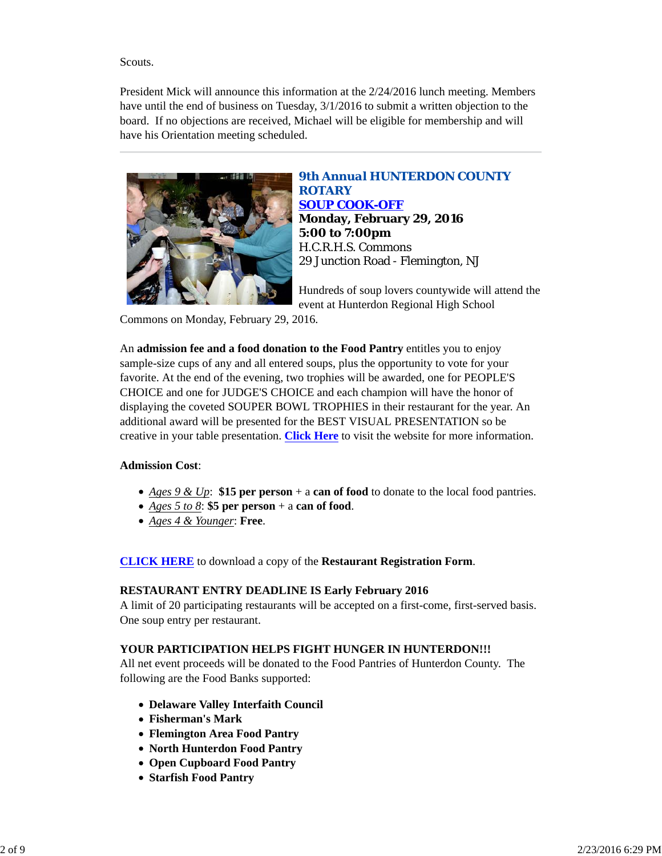### Scouts.

President Mick will announce this information at the 2/24/2016 lunch meeting. Members have until the end of business on Tuesday, 3/1/2016 to submit a written objection to the board. If no objections are received, Michael will be eligible for membership and will have his Orientation meeting scheduled.



## *9th Annual HUNTERDON COUNTY ROTARY SOUP COOK-OFF* **Monday, February 29, 2016 5:00 to 7:00pm** H.C.R.H.S. Commons 29 Junction Road - Flemington, NJ

Hundreds of soup lovers countywide will attend the event at Hunterdon Regional High School

Commons on Monday, February 29, 2016.

An **admission fee and a food donation to the Food Pantry** entitles you to enjoy sample-size cups of any and all entered soups, plus the opportunity to vote for your favorite. At the end of the evening, two trophies will be awarded, one for PEOPLE'S CHOICE and one for JUDGE'S CHOICE and each champion will have the honor of displaying the coveted SOUPER BOWL TROPHIES in their restaurant for the year. An additional award will be presented for the BEST VISUAL PRESENTATION so be creative in your table presentation. **Click Here** to visit the website for more information.

## **Admission Cost**:

- *Ages 9 & Up*: **\$15 per person** + a **can of food** to donate to the local food pantries.
- *Ages 5 to 8*: **\$5 per person** + a **can of food**.
- *Ages 4 & Younger*: **Free**.

**CLICK HERE** to download a copy of the **Restaurant Registration Form**.

### **RESTAURANT ENTRY DEADLINE IS Early February 2016**

A limit of 20 participating restaurants will be accepted on a first-come, first-served basis. One soup entry per restaurant.

## **YOUR PARTICIPATION HELPS FIGHT HUNGER IN HUNTERDON!!!**

All net event proceeds will be donated to the Food Pantries of Hunterdon County. The following are the Food Banks supported:

- **Delaware Valley Interfaith Council**
- **Fisherman's Mark**
- **Flemington Area Food Pantry**
- **North Hunterdon Food Pantry**
- **Open Cupboard Food Pantry**
- **Starfish Food Pantry**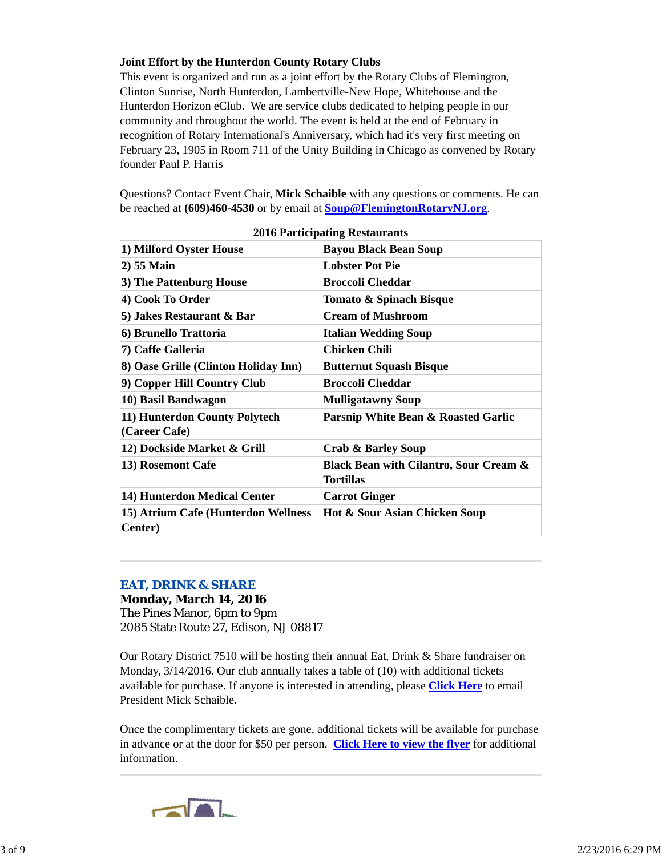### **Joint Effort by the Hunterdon County Rotary Clubs**

This event is organized and run as a joint effort by the Rotary Clubs of Flemington, Clinton Sunrise, North Hunterdon, Lambertville-New Hope, Whitehouse and the Hunterdon Horizon eClub. We are service clubs dedicated to helping people in our community and throughout the world. The event is held at the end of February in recognition of Rotary International's Anniversary, which had it's very first meeting on February 23, 1905 in Room 711 of the Unity Building in Chicago as convened by Rotary founder Paul P. Harris

Questions? Contact Event Chair, **Mick Schaible** with any questions or comments. He can be reached at **(609)460-4530** or by email at **Soup@FlemingtonRotaryNJ.org**.

| 1) Milford Oyster House                                | <b>Bayou Black Bean Soup</b>                                          |
|--------------------------------------------------------|-----------------------------------------------------------------------|
| 2) 55 Main                                             | <b>Lobster Pot Pie</b>                                                |
| 3) The Pattenburg House                                | <b>Broccoli Cheddar</b>                                               |
| 4) Cook To Order                                       | Tomato & Spinach Bisque                                               |
| 5) Jakes Restaurant & Bar                              | <b>Cream of Mushroom</b>                                              |
| 6) Brunello Trattoria                                  | <b>Italian Wedding Soup</b>                                           |
| 7) Caffe Galleria                                      | <b>Chicken Chili</b>                                                  |
| 8) Oase Grille (Clinton Holiday Inn)                   | <b>Butternut Squash Bisque</b>                                        |
| 9) Copper Hill Country Club                            | <b>Broccoli Cheddar</b>                                               |
| 10) Basil Bandwagon                                    | <b>Mulligatawny Soup</b>                                              |
| 11) Hunterdon County Polytech<br>(Career Cafe)         | Parsnip White Bean & Roasted Garlic                                   |
| 12) Dockside Market & Grill                            | <b>Crab &amp; Barley Soup</b>                                         |
| 13) Rosemont Cafe                                      | <b>Black Bean with Cilantro, Sour Cream &amp;</b><br><b>Tortillas</b> |
| 14) Hunterdon Medical Center                           | <b>Carrot Ginger</b>                                                  |
| 15) Atrium Cafe (Hunterdon Wellness<br><b>Center</b> ) | Hot & Sour Asian Chicken Soup                                         |

**2016 Participating Restaurants**

#### *EAT, DRINK & SHARE*

**Monday, March 14, 2016** The Pines Manor, 6pm to 9pm 2085 State Route 27, Edison, NJ 08817

Our Rotary District 7510 will be hosting their annual Eat, Drink & Share fundraiser on Monday, 3/14/2016. Our club annually takes a table of (10) with additional tickets available for purchase. If anyone is interested in attending, please **Click Here** to email President Mick Schaible.

Once the complimentary tickets are gone, additional tickets will be available for purchase in advance or at the door for \$50 per person. **Click Here to view the flyer** for additional information.

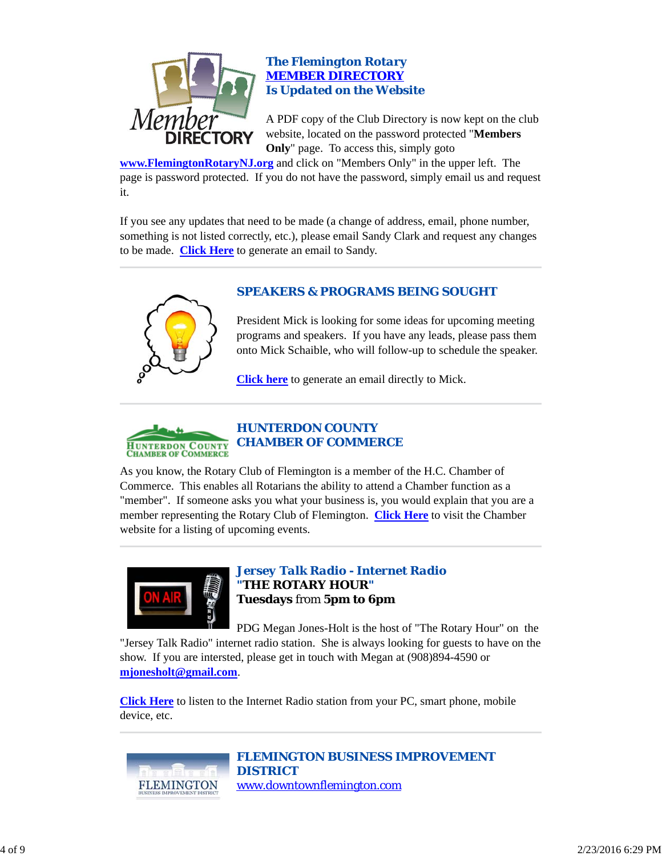

### *The Flemington Rotary MEMBER DIRECTORY Is Updated on the Website*

A PDF copy of the Club Directory is now kept on the club website, located on the password protected "**Members Only**" page. To access this, simply goto

**www.FlemingtonRotaryNJ.org** and click on "Members Only" in the upper left. The page is password protected. If you do not have the password, simply email us and request it.

If you see any updates that need to be made (a change of address, email, phone number, something is not listed correctly, etc.), please email Sandy Clark and request any changes to be made. **Click Here** to generate an email to Sandy.



## *SPEAKERS & PROGRAMS BEING SOUGHT*

President Mick is looking for some ideas for upcoming meeting programs and speakers. If you have any leads, please pass them onto Mick Schaible, who will follow-up to schedule the speaker.

**Click here** to generate an email directly to Mick.



As you know, the Rotary Club of Flemington is a member of the H.C. Chamber of Commerce. This enables all Rotarians the ability to attend a Chamber function as a "member". If someone asks you what your business is, you would explain that you are a member representing the Rotary Club of Flemington. **Click Here** to visit the Chamber website for a listing of upcoming events.



*Jersey Talk Radio - Internet Radio "THE ROTARY HOUR"* **Tuesdays** from **5pm to 6pm**

PDG Megan Jones-Holt is the host of "The Rotary Hour" on the "Jersey Talk Radio" internet radio station. She is always looking for guests to have on the show. If you are intersted, please get in touch with Megan at (908)894-4590 or **mjonesholt@gmail.com**.

**Click Here** to listen to the Internet Radio station from your PC, smart phone, mobile device, etc.



*FLEMINGTON BUSINESS IMPROVEMENT DISTRICT* www.downtownflemington.com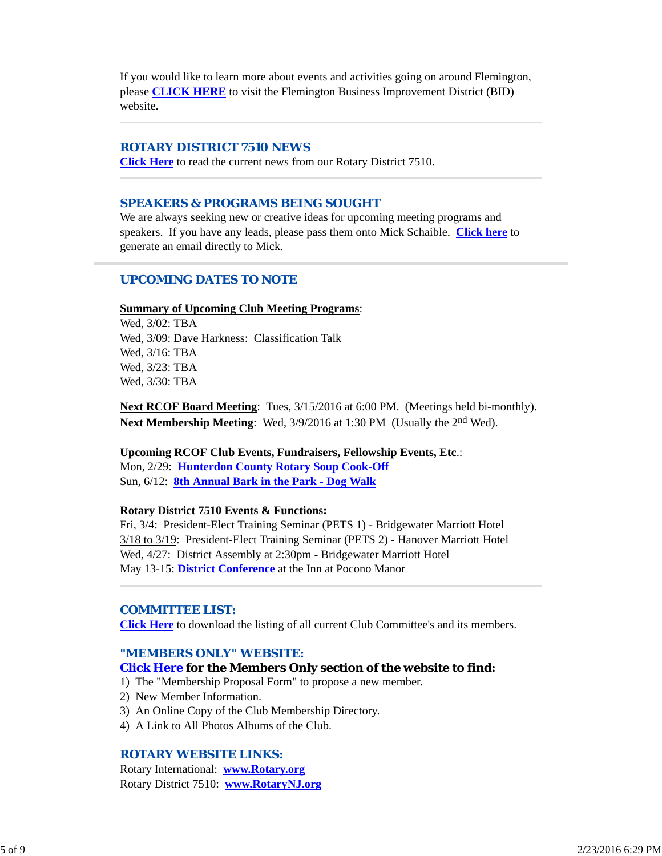If you would like to learn more about events and activities going on around Flemington, please **CLICK HERE** to visit the Flemington Business Improvement District (BID) website.

### *ROTARY DISTRICT 7510 NEWS*

**Click Here** to read the current news from our Rotary District 7510.

#### *SPEAKERS & PROGRAMS BEING SOUGHT*

We are always seeking new or creative ideas for upcoming meeting programs and speakers. If you have any leads, please pass them onto Mick Schaible. **Click here** to generate an email directly to Mick.

### *UPCOMING DATES TO NOTE*

#### **Summary of Upcoming Club Meeting Programs**:

Wed, 3/02: TBA Wed, 3/09: Dave Harkness: Classification Talk Wed, 3/16: TBA Wed, 3/23: TBA Wed, 3/30: TBA

**Next RCOF Board Meeting**: Tues, 3/15/2016 at 6:00 PM. (Meetings held bi-monthly). **Next Membership Meeting**: Wed,  $3/9/2016$  at 1:30 PM (Usually the 2<sup>nd</sup> Wed).

#### **Upcoming RCOF Club Events, Fundraisers, Fellowship Events, Etc**.:

Mon, 2/29: **Hunterdon County Rotary Soup Cook-Off** Sun, 6/12: **8th Annual Bark in the Park - Dog Walk**

#### **Rotary District 7510 Events & Functions:**

Fri, 3/4: President-Elect Training Seminar (PETS 1) - Bridgewater Marriott Hotel 3/18 to 3/19: President-Elect Training Seminar (PETS 2) - Hanover Marriott Hotel Wed, 4/27: District Assembly at 2:30pm - Bridgewater Marriott Hotel May 13-15: **District Conference** at the Inn at Pocono Manor

#### *COMMITTEE LIST:*

**Click Here** to download the listing of all current Club Committee's and its members.

#### *"MEMBERS ONLY" WEBSITE:*

#### **Click Here for the Members Only section of the website to find:**

1) The "Membership Proposal Form" to propose a new member.

- 2) New Member Information.
- 3) An Online Copy of the Club Membership Directory.
- 4) A Link to All Photos Albums of the Club.

### *ROTARY WEBSITE LINKS:*

Rotary International: **www.Rotary.org** Rotary District 7510: **www.RotaryNJ.org**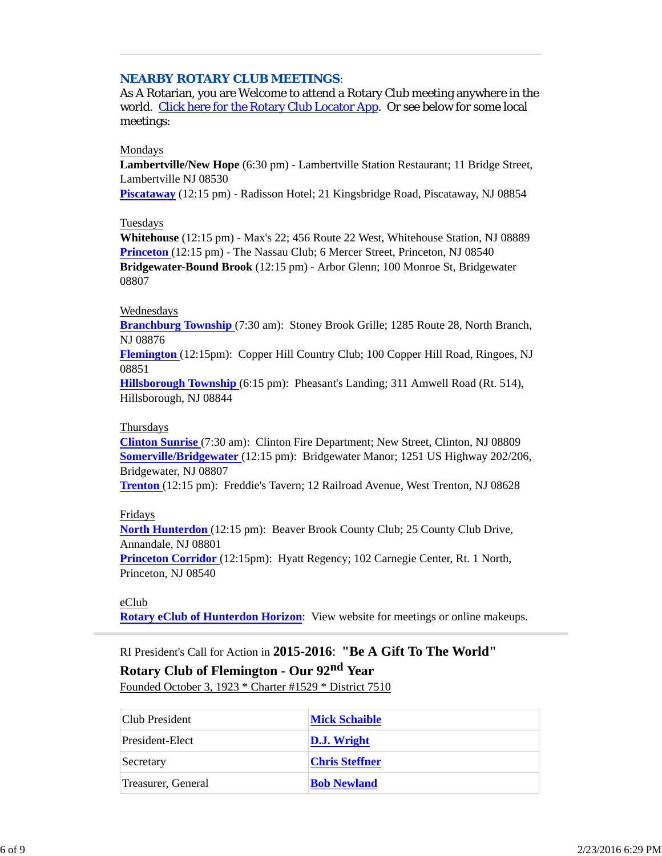### *NEARBY ROTARY CLUB MEETINGS:*

As A Rotarian, you are Welcome to attend a Rotary Club meeting anywhere in the world. Click here for the Rotary Club Locator App. Or see below for some local meetings:

### Mondays

**Lambertville/New Hope** (6:30 pm) - Lambertville Station Restaurant; 11 Bridge Street, Lambertville NJ 08530

**Piscataway** (12:15 pm) - Radisson Hotel; 21 Kingsbridge Road, Piscataway, NJ 08854

### Tuesdays

**Whitehouse** (12:15 pm) - Max's 22; 456 Route 22 West, Whitehouse Station, NJ 08889 **Princeton** (12:15 pm) - The Nassau Club; 6 Mercer Street, Princeton, NJ 08540 **Bridgewater-Bound Brook** (12:15 pm) - Arbor Glenn; 100 Monroe St, Bridgewater 08807

### Wednesdays

**Branchburg Township** (7:30 am): Stoney Brook Grille; 1285 Route 28, North Branch, NJ 08876

**Flemington** (12:15pm): Copper Hill Country Club; 100 Copper Hill Road, Ringoes, NJ 08851

**Hillsborough Township** (6:15 pm): Pheasant's Landing; 311 Amwell Road (Rt. 514), Hillsborough, NJ 08844

### Thursdays

**Clinton Sunrise** (7:30 am): Clinton Fire Department; New Street, Clinton, NJ 08809 **Somerville/Bridgewater** (12:15 pm): Bridgewater Manor; 1251 US Highway 202/206, Bridgewater, NJ 08807

**Trenton** (12:15 pm): Freddie's Tavern; 12 Railroad Avenue, West Trenton, NJ 08628

Fridays

**North Hunterdon** (12:15 pm): Beaver Brook County Club; 25 County Club Drive, Annandale, NJ 08801

**Princeton Corridor** (12:15pm): Hyatt Regency; 102 Carnegie Center, Rt. 1 North, Princeton, NJ 08540

eClub **Rotary eClub of Hunterdon Horizon**: View website for meetings or online makeups.

RI President's Call for Action in **2015-2016**: **"Be A Gift To The World" Rotary Club of Flemington - Our 92nd Year** Founded October 3, 1923 \* Charter #1529 \* District 7510

| Club President     | <b>Mick Schaible</b>  |
|--------------------|-----------------------|
| President-Elect    | <b>D.J.</b> Wright    |
| Secretary          | <b>Chris Steffner</b> |
| Treasurer, General | <b>Bob Newland</b>    |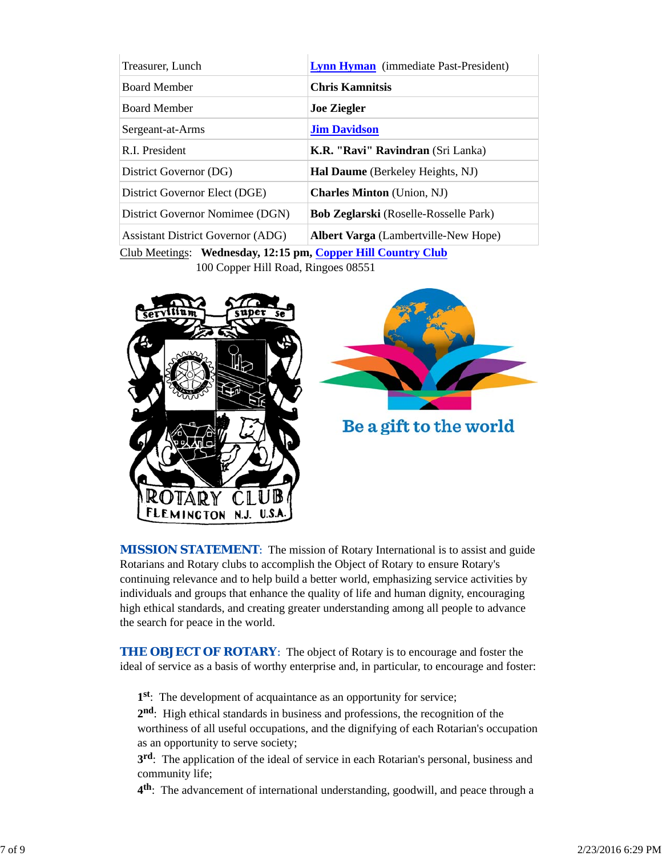| Treasurer, Lunch                                                                                | <b>Lynn Hyman</b> (immediate Past-President) |  |
|-------------------------------------------------------------------------------------------------|----------------------------------------------|--|
| <b>Board Member</b>                                                                             | <b>Chris Kamnitsis</b>                       |  |
| <b>Board Member</b>                                                                             | <b>Joe Ziegler</b>                           |  |
| Sergeant-at-Arms                                                                                | <b>Jim Davidson</b>                          |  |
| R.I. President                                                                                  | <b>K.R. "Ravi" Ravindran</b> (Sri Lanka)     |  |
| District Governor (DG)                                                                          | Hal Daume (Berkeley Heights, NJ)             |  |
| District Governor Elect (DGE)                                                                   | <b>Charles Minton</b> (Union, NJ)            |  |
| District Governor Nomimee (DGN)                                                                 | <b>Bob Zeglarski</b> (Roselle-Rosselle Park) |  |
| <b>Assistant District Governor (ADG)</b>                                                        | <b>Albert Varga</b> (Lambertville-New Hope)  |  |
| $C_{\rm lab}$ Mostings: Wednesday 12:15 nm $C_{\rm onnor}$ Hill $C_{\rm ountriv}$ $C_{\rm lab}$ |                                              |  |

Club Meetings: **Wednesday, 12:15 pm, Copper Hill Country Club** 100 Copper Hill Road, Ringoes 08551



**MISSION STATEMENT:** The mission of Rotary International is to assist and guide Rotarians and Rotary clubs to accomplish the Object of Rotary to ensure Rotary's continuing relevance and to help build a better world, emphasizing service activities by individuals and groups that enhance the quality of life and human dignity, encouraging high ethical standards, and creating greater understanding among all people to advance the search for peace in the world.

**THE OBJECT OF ROTARY:** The object of Rotary is to encourage and foster the ideal of service as a basis of worthy enterprise and, in particular, to encourage and foster:

**1st**: The development of acquaintance as an opportunity for service;

**2nd**: High ethical standards in business and professions, the recognition of the worthiness of all useful occupations, and the dignifying of each Rotarian's occupation as an opportunity to serve society;

**3rd**: The application of the ideal of service in each Rotarian's personal, business and community life;

**4th**: The advancement of international understanding, goodwill, and peace through a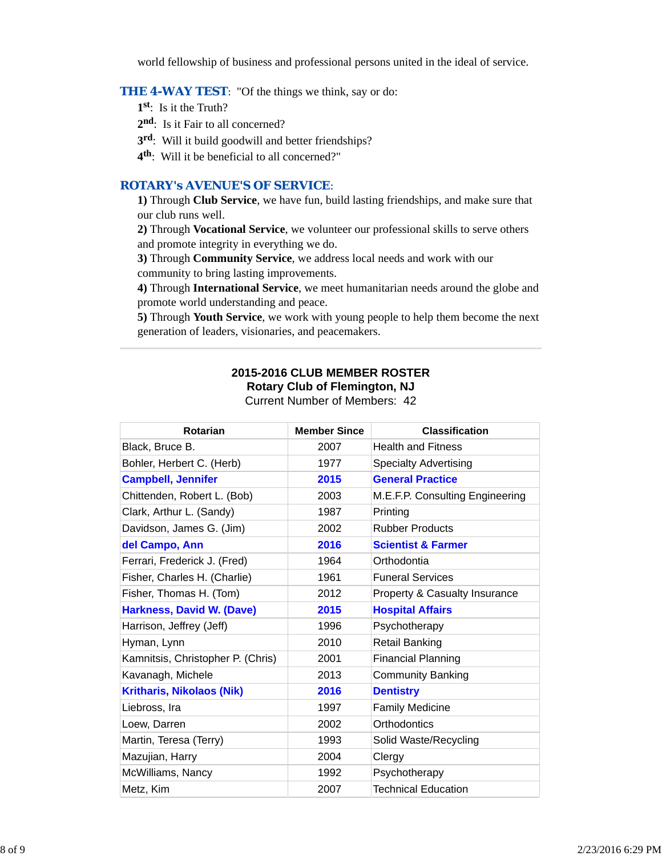world fellowship of business and professional persons united in the ideal of service.

### **THE 4-WAY TEST:** "Of the things we think, say or do:

- **1st**: Is it the Truth?
- 2<sup>nd</sup>: Is it Fair to all concerned?
- **3rd**: Will it build goodwill and better friendships?
- **4th**: Will it be beneficial to all concerned?"

### *ROTARY's AVENUE'S OF SERVICE*:

**1)** Through **Club Service**, we have fun, build lasting friendships, and make sure that our club runs well.

**2)** Through **Vocational Service**, we volunteer our professional skills to serve others and promote integrity in everything we do.

**3)** Through **Community Service**, we address local needs and work with our community to bring lasting improvements.

**4)** Through **International Service**, we meet humanitarian needs around the globe and promote world understanding and peace.

**5)** Through **Youth Service**, we work with young people to help them become the next generation of leaders, visionaries, and peacemakers.

# **2015-2016 CLUB MEMBER ROSTER**

**Rotary Club of Flemington, NJ**

| Current Number of Members: 42 |  |  |  |
|-------------------------------|--|--|--|
|-------------------------------|--|--|--|

| Rotarian                          | <b>Member Since</b> | <b>Classification</b>           |
|-----------------------------------|---------------------|---------------------------------|
| Black, Bruce B.                   | 2007                | <b>Health and Fitness</b>       |
| Bohler, Herbert C. (Herb)         | 1977                | <b>Specialty Advertising</b>    |
| <b>Campbell, Jennifer</b>         | 2015                | <b>General Practice</b>         |
| Chittenden, Robert L. (Bob)       | 2003                | M.E.F.P. Consulting Engineering |
| Clark, Arthur L. (Sandy)          | 1987                | Printing                        |
| Davidson, James G. (Jim)          | 2002                | <b>Rubber Products</b>          |
| del Campo, Ann                    | 2016                | <b>Scientist &amp; Farmer</b>   |
| Ferrari, Frederick J. (Fred)      | 1964                | Orthodontia                     |
| Fisher, Charles H. (Charlie)      | 1961                | <b>Funeral Services</b>         |
| Fisher, Thomas H. (Tom)           | 2012                | Property & Casualty Insurance   |
| <b>Harkness, David W. (Dave)</b>  | 2015                | <b>Hospital Affairs</b>         |
| Harrison, Jeffrey (Jeff)          | 1996                | Psychotherapy                   |
| Hyman, Lynn                       | 2010                | <b>Retail Banking</b>           |
| Kamnitsis, Christopher P. (Chris) | 2001                | <b>Financial Planning</b>       |
| Kavanagh, Michele                 | 2013                | <b>Community Banking</b>        |
| <b>Kritharis, Nikolaos (Nik)</b>  | 2016                | <b>Dentistry</b>                |
| Liebross, Ira                     | 1997                | <b>Family Medicine</b>          |
| Loew, Darren                      | 2002                | Orthodontics                    |
| Martin, Teresa (Terry)            | 1993                | Solid Waste/Recycling           |
| Mazujian, Harry                   | 2004                | Clergy                          |
| McWilliams, Nancy                 | 1992                | Psychotherapy                   |
| Metz, Kim                         | 2007                | <b>Technical Education</b>      |